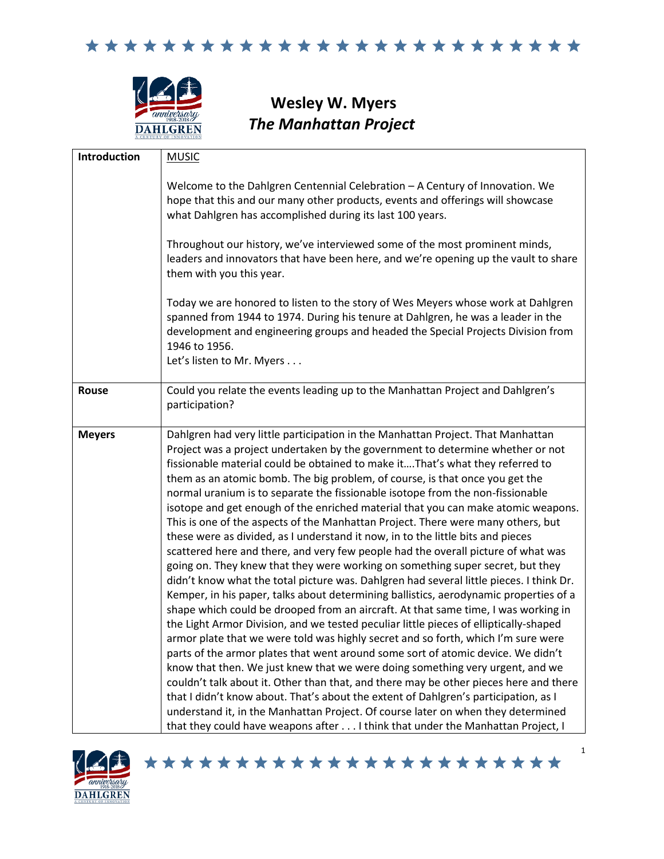

**Wesley W. Myers** *The Manhattan Project*

| <b>Introduction</b> | <b>MUSIC</b>                                                                                                                                                                                                                                                                                                                                                                                                                                                                                                                                                                                                                                                                                                                                                                                                                                                                                                                                                                                                                                                                                                                                                                                                                                                                                                                                                                                                                                                                                                                                                                                                                                                                                                                                                                                                                               |
|---------------------|--------------------------------------------------------------------------------------------------------------------------------------------------------------------------------------------------------------------------------------------------------------------------------------------------------------------------------------------------------------------------------------------------------------------------------------------------------------------------------------------------------------------------------------------------------------------------------------------------------------------------------------------------------------------------------------------------------------------------------------------------------------------------------------------------------------------------------------------------------------------------------------------------------------------------------------------------------------------------------------------------------------------------------------------------------------------------------------------------------------------------------------------------------------------------------------------------------------------------------------------------------------------------------------------------------------------------------------------------------------------------------------------------------------------------------------------------------------------------------------------------------------------------------------------------------------------------------------------------------------------------------------------------------------------------------------------------------------------------------------------------------------------------------------------------------------------------------------------|
|                     | Welcome to the Dahlgren Centennial Celebration - A Century of Innovation. We<br>hope that this and our many other products, events and offerings will showcase<br>what Dahlgren has accomplished during its last 100 years.                                                                                                                                                                                                                                                                                                                                                                                                                                                                                                                                                                                                                                                                                                                                                                                                                                                                                                                                                                                                                                                                                                                                                                                                                                                                                                                                                                                                                                                                                                                                                                                                                |
|                     | Throughout our history, we've interviewed some of the most prominent minds,<br>leaders and innovators that have been here, and we're opening up the vault to share<br>them with you this year.                                                                                                                                                                                                                                                                                                                                                                                                                                                                                                                                                                                                                                                                                                                                                                                                                                                                                                                                                                                                                                                                                                                                                                                                                                                                                                                                                                                                                                                                                                                                                                                                                                             |
|                     | Today we are honored to listen to the story of Wes Meyers whose work at Dahlgren<br>spanned from 1944 to 1974. During his tenure at Dahlgren, he was a leader in the<br>development and engineering groups and headed the Special Projects Division from<br>1946 to 1956.<br>Let's listen to Mr. Myers                                                                                                                                                                                                                                                                                                                                                                                                                                                                                                                                                                                                                                                                                                                                                                                                                                                                                                                                                                                                                                                                                                                                                                                                                                                                                                                                                                                                                                                                                                                                     |
| Rouse               | Could you relate the events leading up to the Manhattan Project and Dahlgren's<br>participation?                                                                                                                                                                                                                                                                                                                                                                                                                                                                                                                                                                                                                                                                                                                                                                                                                                                                                                                                                                                                                                                                                                                                                                                                                                                                                                                                                                                                                                                                                                                                                                                                                                                                                                                                           |
| <b>Meyers</b>       | Dahlgren had very little participation in the Manhattan Project. That Manhattan<br>Project was a project undertaken by the government to determine whether or not<br>fissionable material could be obtained to make itThat's what they referred to<br>them as an atomic bomb. The big problem, of course, is that once you get the<br>normal uranium is to separate the fissionable isotope from the non-fissionable<br>isotope and get enough of the enriched material that you can make atomic weapons.<br>This is one of the aspects of the Manhattan Project. There were many others, but<br>these were as divided, as I understand it now, in to the little bits and pieces<br>scattered here and there, and very few people had the overall picture of what was<br>going on. They knew that they were working on something super secret, but they<br>didn't know what the total picture was. Dahlgren had several little pieces. I think Dr.<br>Kemper, in his paper, talks about determining ballistics, aerodynamic properties of a<br>shape which could be drooped from an aircraft. At that same time, I was working in<br>the Light Armor Division, and we tested peculiar little pieces of elliptically-shaped<br>armor plate that we were told was highly secret and so forth, which I'm sure were<br>parts of the armor plates that went around some sort of atomic device. We didn't<br>know that then. We just knew that we were doing something very urgent, and we<br>couldn't talk about it. Other than that, and there may be other pieces here and there<br>that I didn't know about. That's about the extent of Dahlgren's participation, as I<br>understand it, in the Manhattan Project. Of course later on when they determined<br>that they could have weapons after I think that under the Manhattan Project, I |

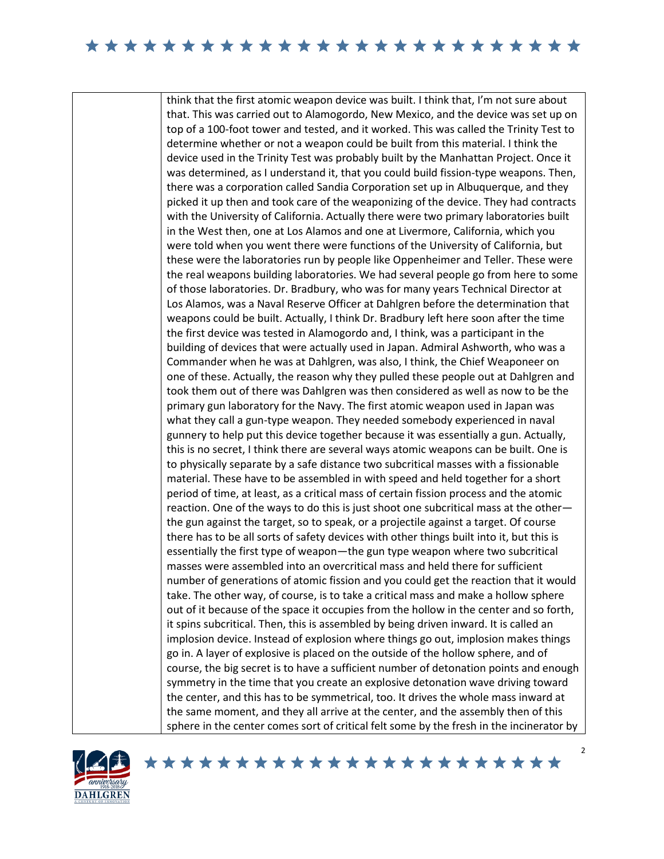think that the first atomic weapon device was built. I think that, I'm not sure about that. This was carried out to Alamogordo, New Mexico, and the device was set up on top of a 100-foot tower and tested, and it worked. This was called the Trinity Test to determine whether or not a weapon could be built from this material. I think the device used in the Trinity Test was probably built by the Manhattan Project. Once it was determined, as I understand it, that you could build fission-type weapons. Then, there was a corporation called Sandia Corporation set up in Albuquerque, and they picked it up then and took care of the weaponizing of the device. They had contracts with the University of California. Actually there were two primary laboratories built in the West then, one at Los Alamos and one at Livermore, California, which you were told when you went there were functions of the University of California, but these were the laboratories run by people like Oppenheimer and Teller. These were the real weapons building laboratories. We had several people go from here to some of those laboratories. Dr. Bradbury, who was for many years Technical Director at Los Alamos, was a Naval Reserve Officer at Dahlgren before the determination that weapons could be built. Actually, I think Dr. Bradbury left here soon after the time the first device was tested in Alamogordo and, I think, was a participant in the building of devices that were actually used in Japan. Admiral Ashworth, who was a Commander when he was at Dahlgren, was also, I think, the Chief Weaponeer on one of these. Actually, the reason why they pulled these people out at Dahlgren and took them out of there was Dahlgren was then considered as well as now to be the primary gun laboratory for the Navy. The first atomic weapon used in Japan was what they call a gun-type weapon. They needed somebody experienced in naval gunnery to help put this device together because it was essentially a gun. Actually, this is no secret, I think there are several ways atomic weapons can be built. One is to physically separate by a safe distance two subcritical masses with a fissionable material. These have to be assembled in with speed and held together for a short period of time, at least, as a critical mass of certain fission process and the atomic reaction. One of the ways to do this is just shoot one subcritical mass at the other the gun against the target, so to speak, or a projectile against a target. Of course there has to be all sorts of safety devices with other things built into it, but this is essentially the first type of weapon—the gun type weapon where two subcritical masses were assembled into an overcritical mass and held there for sufficient number of generations of atomic fission and you could get the reaction that it would take. The other way, of course, is to take a critical mass and make a hollow sphere out of it because of the space it occupies from the hollow in the center and so forth, it spins subcritical. Then, this is assembled by being driven inward. It is called an implosion device. Instead of explosion where things go out, implosion makes things go in. A layer of explosive is placed on the outside of the hollow sphere, and of course, the big secret is to have a sufficient number of detonation points and enough symmetry in the time that you create an explosive detonation wave driving toward the center, and this has to be symmetrical, too. It drives the whole mass inward at the same moment, and they all arrive at the center, and the assembly then of this sphere in the center comes sort of critical felt some by the fresh in the incinerator by



 $\mathfrak{p}$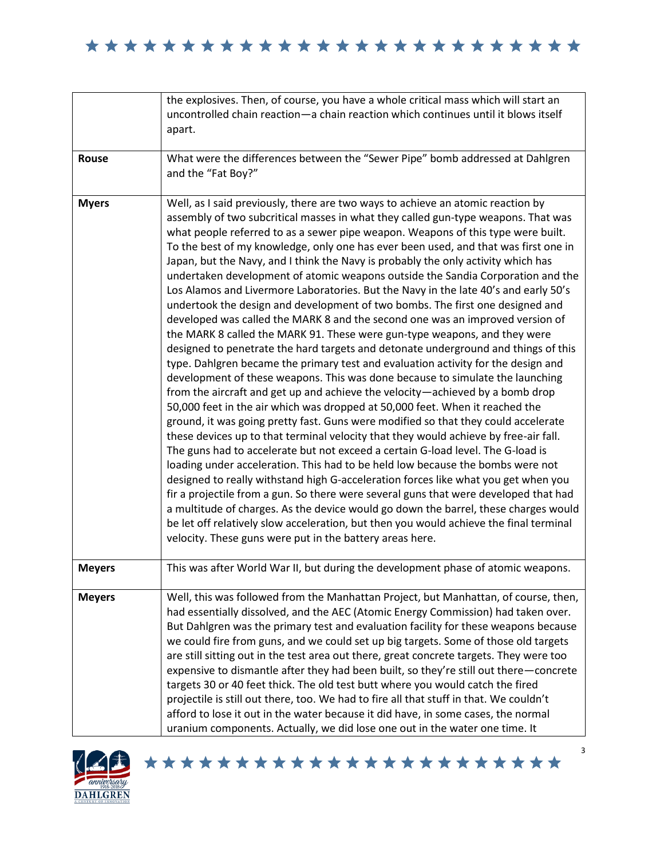|               | the explosives. Then, of course, you have a whole critical mass which will start an<br>uncontrolled chain reaction-a chain reaction which continues until it blows itself                                                                                                                                                                                                                                                                                                                                                                                                                                                                                                                                                                                                                                                                                                                                                                                                                                                                                                                                                                                                                                                                                                                                                                                                                                                                                                                                                                                                                                                                                                                                                                                                                                                                                                                                                                                                                                                                                                |
|---------------|--------------------------------------------------------------------------------------------------------------------------------------------------------------------------------------------------------------------------------------------------------------------------------------------------------------------------------------------------------------------------------------------------------------------------------------------------------------------------------------------------------------------------------------------------------------------------------------------------------------------------------------------------------------------------------------------------------------------------------------------------------------------------------------------------------------------------------------------------------------------------------------------------------------------------------------------------------------------------------------------------------------------------------------------------------------------------------------------------------------------------------------------------------------------------------------------------------------------------------------------------------------------------------------------------------------------------------------------------------------------------------------------------------------------------------------------------------------------------------------------------------------------------------------------------------------------------------------------------------------------------------------------------------------------------------------------------------------------------------------------------------------------------------------------------------------------------------------------------------------------------------------------------------------------------------------------------------------------------------------------------------------------------------------------------------------------------|
|               | apart.                                                                                                                                                                                                                                                                                                                                                                                                                                                                                                                                                                                                                                                                                                                                                                                                                                                                                                                                                                                                                                                                                                                                                                                                                                                                                                                                                                                                                                                                                                                                                                                                                                                                                                                                                                                                                                                                                                                                                                                                                                                                   |
| Rouse         | What were the differences between the "Sewer Pipe" bomb addressed at Dahlgren<br>and the "Fat Boy?"                                                                                                                                                                                                                                                                                                                                                                                                                                                                                                                                                                                                                                                                                                                                                                                                                                                                                                                                                                                                                                                                                                                                                                                                                                                                                                                                                                                                                                                                                                                                                                                                                                                                                                                                                                                                                                                                                                                                                                      |
| <b>Myers</b>  | Well, as I said previously, there are two ways to achieve an atomic reaction by<br>assembly of two subcritical masses in what they called gun-type weapons. That was<br>what people referred to as a sewer pipe weapon. Weapons of this type were built.<br>To the best of my knowledge, only one has ever been used, and that was first one in<br>Japan, but the Navy, and I think the Navy is probably the only activity which has<br>undertaken development of atomic weapons outside the Sandia Corporation and the<br>Los Alamos and Livermore Laboratories. But the Navy in the late 40's and early 50's<br>undertook the design and development of two bombs. The first one designed and<br>developed was called the MARK 8 and the second one was an improved version of<br>the MARK 8 called the MARK 91. These were gun-type weapons, and they were<br>designed to penetrate the hard targets and detonate underground and things of this<br>type. Dahlgren became the primary test and evaluation activity for the design and<br>development of these weapons. This was done because to simulate the launching<br>from the aircraft and get up and achieve the velocity-achieved by a bomb drop<br>50,000 feet in the air which was dropped at 50,000 feet. When it reached the<br>ground, it was going pretty fast. Guns were modified so that they could accelerate<br>these devices up to that terminal velocity that they would achieve by free-air fall.<br>The guns had to accelerate but not exceed a certain G-load level. The G-load is<br>loading under acceleration. This had to be held low because the bombs were not<br>designed to really withstand high G-acceleration forces like what you get when you<br>fir a projectile from a gun. So there were several guns that were developed that had<br>a multitude of charges. As the device would go down the barrel, these charges would<br>be let off relatively slow acceleration, but then you would achieve the final terminal<br>velocity. These guns were put in the battery areas here. |
| <b>Meyers</b> | This was after World War II, but during the development phase of atomic weapons.                                                                                                                                                                                                                                                                                                                                                                                                                                                                                                                                                                                                                                                                                                                                                                                                                                                                                                                                                                                                                                                                                                                                                                                                                                                                                                                                                                                                                                                                                                                                                                                                                                                                                                                                                                                                                                                                                                                                                                                         |
| <b>Meyers</b> | Well, this was followed from the Manhattan Project, but Manhattan, of course, then,<br>had essentially dissolved, and the AEC (Atomic Energy Commission) had taken over.<br>But Dahlgren was the primary test and evaluation facility for these weapons because<br>we could fire from guns, and we could set up big targets. Some of those old targets<br>are still sitting out in the test area out there, great concrete targets. They were too<br>expensive to dismantle after they had been built, so they're still out there-concrete<br>targets 30 or 40 feet thick. The old test butt where you would catch the fired<br>projectile is still out there, too. We had to fire all that stuff in that. We couldn't<br>afford to lose it out in the water because it did have, in some cases, the normal<br>uranium components. Actually, we did lose one out in the water one time. It                                                                                                                                                                                                                                                                                                                                                                                                                                                                                                                                                                                                                                                                                                                                                                                                                                                                                                                                                                                                                                                                                                                                                                               |



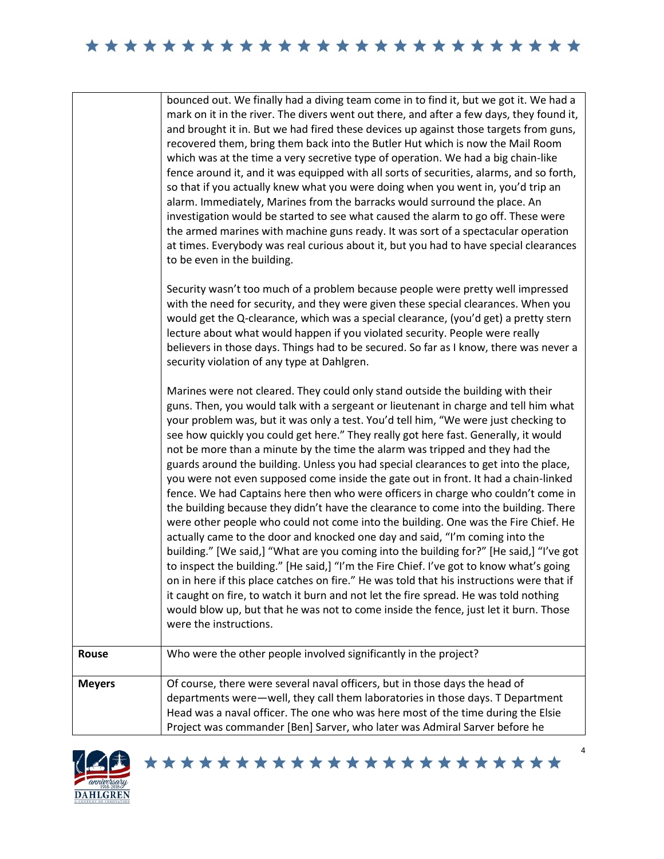|               | bounced out. We finally had a diving team come in to find it, but we got it. We had a<br>mark on it in the river. The divers went out there, and after a few days, they found it,<br>and brought it in. But we had fired these devices up against those targets from guns,<br>recovered them, bring them back into the Butler Hut which is now the Mail Room<br>which was at the time a very secretive type of operation. We had a big chain-like<br>fence around it, and it was equipped with all sorts of securities, alarms, and so forth,<br>so that if you actually knew what you were doing when you went in, you'd trip an<br>alarm. Immediately, Marines from the barracks would surround the place. An<br>investigation would be started to see what caused the alarm to go off. These were<br>the armed marines with machine guns ready. It was sort of a spectacular operation<br>at times. Everybody was real curious about it, but you had to have special clearances<br>to be even in the building.                                                                                                                                                                                                                                                                                                                                                                                                                                                    |
|---------------|----------------------------------------------------------------------------------------------------------------------------------------------------------------------------------------------------------------------------------------------------------------------------------------------------------------------------------------------------------------------------------------------------------------------------------------------------------------------------------------------------------------------------------------------------------------------------------------------------------------------------------------------------------------------------------------------------------------------------------------------------------------------------------------------------------------------------------------------------------------------------------------------------------------------------------------------------------------------------------------------------------------------------------------------------------------------------------------------------------------------------------------------------------------------------------------------------------------------------------------------------------------------------------------------------------------------------------------------------------------------------------------------------------------------------------------------------------------------|
|               | Security wasn't too much of a problem because people were pretty well impressed<br>with the need for security, and they were given these special clearances. When you<br>would get the Q-clearance, which was a special clearance, (you'd get) a pretty stern<br>lecture about what would happen if you violated security. People were really<br>believers in those days. Things had to be secured. So far as I know, there was never a<br>security violation of any type at Dahlgren.                                                                                                                                                                                                                                                                                                                                                                                                                                                                                                                                                                                                                                                                                                                                                                                                                                                                                                                                                                               |
|               | Marines were not cleared. They could only stand outside the building with their<br>guns. Then, you would talk with a sergeant or lieutenant in charge and tell him what<br>your problem was, but it was only a test. You'd tell him, "We were just checking to<br>see how quickly you could get here." They really got here fast. Generally, it would<br>not be more than a minute by the time the alarm was tripped and they had the<br>guards around the building. Unless you had special clearances to get into the place,<br>you were not even supposed come inside the gate out in front. It had a chain-linked<br>fence. We had Captains here then who were officers in charge who couldn't come in<br>the building because they didn't have the clearance to come into the building. There<br>were other people who could not come into the building. One was the Fire Chief. He<br>actually came to the door and knocked one day and said, "I'm coming into the<br>building." [We said,] "What are you coming into the building for?" [He said,] "I've got<br>to inspect the building." [He said,] "I'm the Fire Chief. I've got to know what's going<br>on in here if this place catches on fire." He was told that his instructions were that if<br>it caught on fire, to watch it burn and not let the fire spread. He was told nothing<br>would blow up, but that he was not to come inside the fence, just let it burn. Those<br>were the instructions. |
| Rouse         | Who were the other people involved significantly in the project?                                                                                                                                                                                                                                                                                                                                                                                                                                                                                                                                                                                                                                                                                                                                                                                                                                                                                                                                                                                                                                                                                                                                                                                                                                                                                                                                                                                                     |
| <b>Meyers</b> | Of course, there were several naval officers, but in those days the head of<br>departments were-well, they call them laboratories in those days. T Department<br>Head was a naval officer. The one who was here most of the time during the Elsie<br>Project was commander [Ben] Sarver, who later was Admiral Sarver before he                                                                                                                                                                                                                                                                                                                                                                                                                                                                                                                                                                                                                                                                                                                                                                                                                                                                                                                                                                                                                                                                                                                                      |

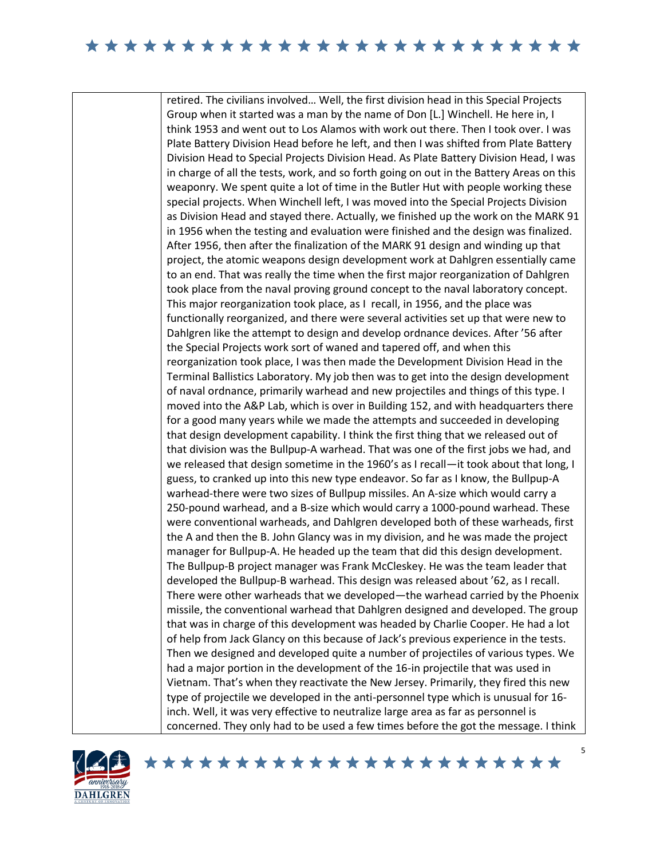retired. The civilians involved… Well, the first division head in this Special Projects Group when it started was a man by the name of Don [L.] Winchell. He here in, I think 1953 and went out to Los Alamos with work out there. Then I took over. I was Plate Battery Division Head before he left, and then I was shifted from Plate Battery Division Head to Special Projects Division Head. As Plate Battery Division Head, I was in charge of all the tests, work, and so forth going on out in the Battery Areas on this weaponry. We spent quite a lot of time in the Butler Hut with people working these special projects. When Winchell left, I was moved into the Special Projects Division as Division Head and stayed there. Actually, we finished up the work on the MARK 91 in 1956 when the testing and evaluation were finished and the design was finalized. After 1956, then after the finalization of the MARK 91 design and winding up that project, the atomic weapons design development work at Dahlgren essentially came to an end. That was really the time when the first major reorganization of Dahlgren took place from the naval proving ground concept to the naval laboratory concept. This major reorganization took place, as I recall, in 1956, and the place was functionally reorganized, and there were several activities set up that were new to Dahlgren like the attempt to design and develop ordnance devices. After '56 after the Special Projects work sort of waned and tapered off, and when this reorganization took place, I was then made the Development Division Head in the Terminal Ballistics Laboratory. My job then was to get into the design development of naval ordnance, primarily warhead and new projectiles and things of this type. I moved into the A&P Lab, which is over in Building 152, and with headquarters there for a good many years while we made the attempts and succeeded in developing that design development capability. I think the first thing that we released out of that division was the Bullpup-A warhead. That was one of the first jobs we had, and we released that design sometime in the 1960's as I recall—it took about that long, I guess, to cranked up into this new type endeavor. So far as I know, the Bullpup-A warhead-there were two sizes of Bullpup missiles. An A-size which would carry a 250-pound warhead, and a B-size which would carry a 1000-pound warhead. These were conventional warheads, and Dahlgren developed both of these warheads, first the A and then the B. John Glancy was in my division, and he was made the project manager for Bullpup-A. He headed up the team that did this design development. The Bullpup-B project manager was Frank McCleskey. He was the team leader that developed the Bullpup-B warhead. This design was released about '62, as I recall. There were other warheads that we developed—the warhead carried by the Phoenix missile, the conventional warhead that Dahlgren designed and developed. The group that was in charge of this development was headed by Charlie Cooper. He had a lot of help from Jack Glancy on this because of Jack's previous experience in the tests. Then we designed and developed quite a number of projectiles of various types. We had a major portion in the development of the 16-in projectile that was used in Vietnam. That's when they reactivate the New Jersey. Primarily, they fired this new type of projectile we developed in the anti-personnel type which is unusual for 16 inch. Well, it was very effective to neutralize large area as far as personnel is concerned. They only had to be used a few times before the got the message. I think

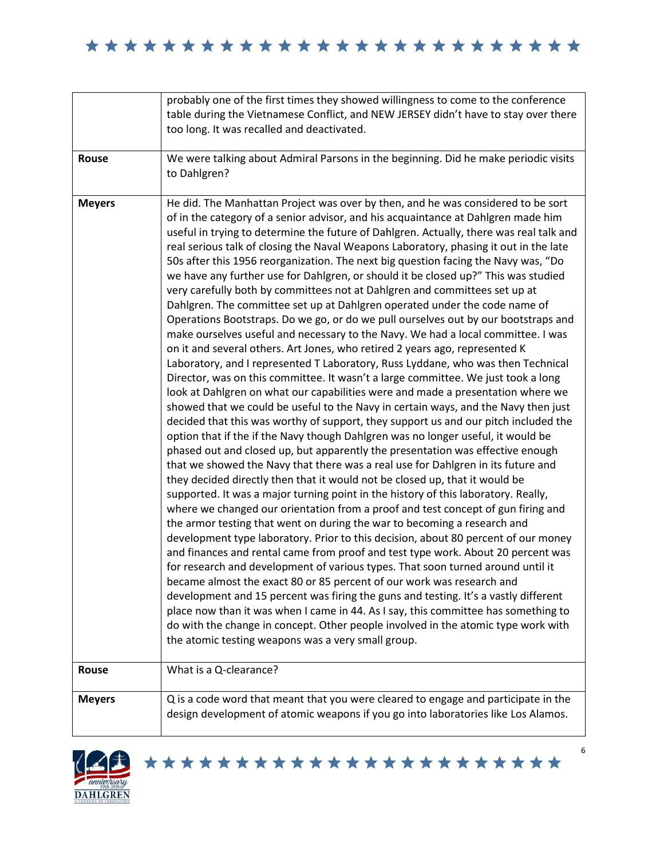|               | probably one of the first times they showed willingness to come to the conference                                                                                                                                                                                                                                                                                                                                                                                                                                                                                                                                                                                                                                                                                                                                                                                                                                                                                                                                                                                                                                                                                                                                                                                                                                                                                                                                                                                                                                                                                                                                                                                                                                                                                                                                                                                                                                                                                                                                                                                                                                                                                                                                                                                                                                                                                                                                                                                                                                                                                                                                                                                |
|---------------|------------------------------------------------------------------------------------------------------------------------------------------------------------------------------------------------------------------------------------------------------------------------------------------------------------------------------------------------------------------------------------------------------------------------------------------------------------------------------------------------------------------------------------------------------------------------------------------------------------------------------------------------------------------------------------------------------------------------------------------------------------------------------------------------------------------------------------------------------------------------------------------------------------------------------------------------------------------------------------------------------------------------------------------------------------------------------------------------------------------------------------------------------------------------------------------------------------------------------------------------------------------------------------------------------------------------------------------------------------------------------------------------------------------------------------------------------------------------------------------------------------------------------------------------------------------------------------------------------------------------------------------------------------------------------------------------------------------------------------------------------------------------------------------------------------------------------------------------------------------------------------------------------------------------------------------------------------------------------------------------------------------------------------------------------------------------------------------------------------------------------------------------------------------------------------------------------------------------------------------------------------------------------------------------------------------------------------------------------------------------------------------------------------------------------------------------------------------------------------------------------------------------------------------------------------------------------------------------------------------------------------------------------------------|
|               | table during the Vietnamese Conflict, and NEW JERSEY didn't have to stay over there<br>too long. It was recalled and deactivated.                                                                                                                                                                                                                                                                                                                                                                                                                                                                                                                                                                                                                                                                                                                                                                                                                                                                                                                                                                                                                                                                                                                                                                                                                                                                                                                                                                                                                                                                                                                                                                                                                                                                                                                                                                                                                                                                                                                                                                                                                                                                                                                                                                                                                                                                                                                                                                                                                                                                                                                                |
|               |                                                                                                                                                                                                                                                                                                                                                                                                                                                                                                                                                                                                                                                                                                                                                                                                                                                                                                                                                                                                                                                                                                                                                                                                                                                                                                                                                                                                                                                                                                                                                                                                                                                                                                                                                                                                                                                                                                                                                                                                                                                                                                                                                                                                                                                                                                                                                                                                                                                                                                                                                                                                                                                                  |
| Rouse         | We were talking about Admiral Parsons in the beginning. Did he make periodic visits<br>to Dahlgren?                                                                                                                                                                                                                                                                                                                                                                                                                                                                                                                                                                                                                                                                                                                                                                                                                                                                                                                                                                                                                                                                                                                                                                                                                                                                                                                                                                                                                                                                                                                                                                                                                                                                                                                                                                                                                                                                                                                                                                                                                                                                                                                                                                                                                                                                                                                                                                                                                                                                                                                                                              |
| <b>Meyers</b> | He did. The Manhattan Project was over by then, and he was considered to be sort<br>of in the category of a senior advisor, and his acquaintance at Dahlgren made him<br>useful in trying to determine the future of Dahlgren. Actually, there was real talk and<br>real serious talk of closing the Naval Weapons Laboratory, phasing it out in the late<br>50s after this 1956 reorganization. The next big question facing the Navy was, "Do<br>we have any further use for Dahlgren, or should it be closed up?" This was studied<br>very carefully both by committees not at Dahlgren and committees set up at<br>Dahlgren. The committee set up at Dahlgren operated under the code name of<br>Operations Bootstraps. Do we go, or do we pull ourselves out by our bootstraps and<br>make ourselves useful and necessary to the Navy. We had a local committee. I was<br>on it and several others. Art Jones, who retired 2 years ago, represented K<br>Laboratory, and I represented T Laboratory, Russ Lyddane, who was then Technical<br>Director, was on this committee. It wasn't a large committee. We just took a long<br>look at Dahlgren on what our capabilities were and made a presentation where we<br>showed that we could be useful to the Navy in certain ways, and the Navy then just<br>decided that this was worthy of support, they support us and our pitch included the<br>option that if the if the Navy though Dahlgren was no longer useful, it would be<br>phased out and closed up, but apparently the presentation was effective enough<br>that we showed the Navy that there was a real use for Dahlgren in its future and<br>they decided directly then that it would not be closed up, that it would be<br>supported. It was a major turning point in the history of this laboratory. Really,<br>where we changed our orientation from a proof and test concept of gun firing and<br>the armor testing that went on during the war to becoming a research and<br>development type laboratory. Prior to this decision, about 80 percent of our money<br>and finances and rental came from proof and test type work. About 20 percent was<br>for research and development of various types. That soon turned around until it<br>became almost the exact 80 or 85 percent of our work was research and<br>development and 15 percent was firing the guns and testing. It's a vastly different<br>place now than it was when I came in 44. As I say, this committee has something to<br>do with the change in concept. Other people involved in the atomic type work with<br>the atomic testing weapons was a very small group. |
| <b>Rouse</b>  | What is a Q-clearance?                                                                                                                                                                                                                                                                                                                                                                                                                                                                                                                                                                                                                                                                                                                                                                                                                                                                                                                                                                                                                                                                                                                                                                                                                                                                                                                                                                                                                                                                                                                                                                                                                                                                                                                                                                                                                                                                                                                                                                                                                                                                                                                                                                                                                                                                                                                                                                                                                                                                                                                                                                                                                                           |
| <b>Meyers</b> | Q is a code word that meant that you were cleared to engage and participate in the<br>design development of atomic weapons if you go into laboratories like Los Alamos.                                                                                                                                                                                                                                                                                                                                                                                                                                                                                                                                                                                                                                                                                                                                                                                                                                                                                                                                                                                                                                                                                                                                                                                                                                                                                                                                                                                                                                                                                                                                                                                                                                                                                                                                                                                                                                                                                                                                                                                                                                                                                                                                                                                                                                                                                                                                                                                                                                                                                          |



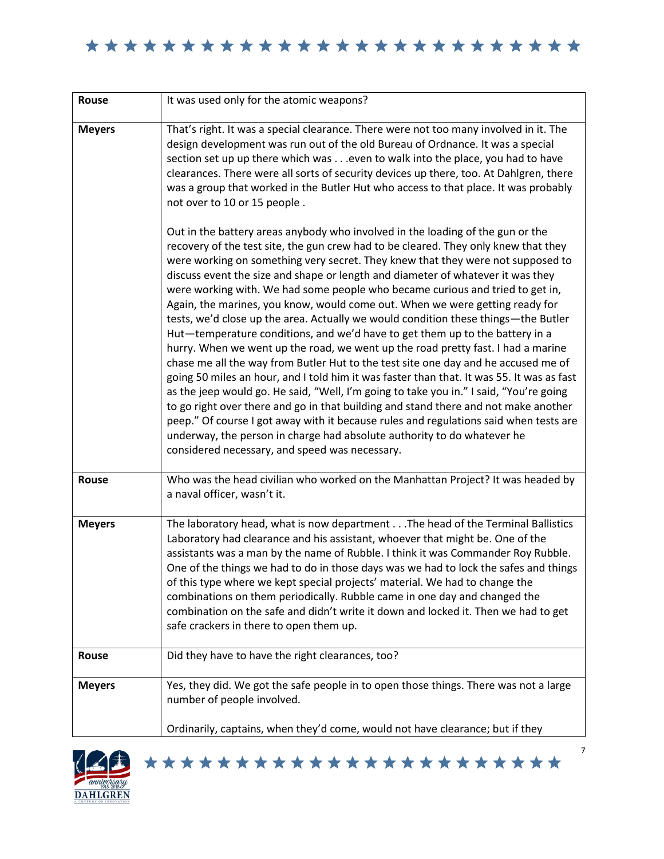| <b>Rouse</b>  | It was used only for the atomic weapons?                                                                                                                                                                                                                                                                                                                                                                                                                                                                                                                                                                                                                                                                                                                                                                                                                                                                                                                                                                                                                                                                                                                                                                                                                                                                                                                         |
|---------------|------------------------------------------------------------------------------------------------------------------------------------------------------------------------------------------------------------------------------------------------------------------------------------------------------------------------------------------------------------------------------------------------------------------------------------------------------------------------------------------------------------------------------------------------------------------------------------------------------------------------------------------------------------------------------------------------------------------------------------------------------------------------------------------------------------------------------------------------------------------------------------------------------------------------------------------------------------------------------------------------------------------------------------------------------------------------------------------------------------------------------------------------------------------------------------------------------------------------------------------------------------------------------------------------------------------------------------------------------------------|
| <b>Meyers</b> | That's right. It was a special clearance. There were not too many involved in it. The<br>design development was run out of the old Bureau of Ordnance. It was a special<br>section set up up there which was even to walk into the place, you had to have<br>clearances. There were all sorts of security devices up there, too. At Dahlgren, there<br>was a group that worked in the Butler Hut who access to that place. It was probably<br>not over to 10 or 15 people.                                                                                                                                                                                                                                                                                                                                                                                                                                                                                                                                                                                                                                                                                                                                                                                                                                                                                       |
|               | Out in the battery areas anybody who involved in the loading of the gun or the<br>recovery of the test site, the gun crew had to be cleared. They only knew that they<br>were working on something very secret. They knew that they were not supposed to<br>discuss event the size and shape or length and diameter of whatever it was they<br>were working with. We had some people who became curious and tried to get in,<br>Again, the marines, you know, would come out. When we were getting ready for<br>tests, we'd close up the area. Actually we would condition these things-the Butler<br>Hut-temperature conditions, and we'd have to get them up to the battery in a<br>hurry. When we went up the road, we went up the road pretty fast. I had a marine<br>chase me all the way from Butler Hut to the test site one day and he accused me of<br>going 50 miles an hour, and I told him it was faster than that. It was 55. It was as fast<br>as the jeep would go. He said, "Well, I'm going to take you in." I said, "You're going<br>to go right over there and go in that building and stand there and not make another<br>peep." Of course I got away with it because rules and regulations said when tests are<br>underway, the person in charge had absolute authority to do whatever he<br>considered necessary, and speed was necessary. |
| Rouse         | Who was the head civilian who worked on the Manhattan Project? It was headed by<br>a naval officer, wasn't it.                                                                                                                                                                                                                                                                                                                                                                                                                                                                                                                                                                                                                                                                                                                                                                                                                                                                                                                                                                                                                                                                                                                                                                                                                                                   |
| <b>Meyers</b> | The laboratory head, what is now department The head of the Terminal Ballistics<br>Laboratory had clearance and his assistant, whoever that might be. One of the<br>assistants was a man by the name of Rubble. I think it was Commander Roy Rubble.<br>One of the things we had to do in those days was we had to lock the safes and things<br>of this type where we kept special projects' material. We had to change the<br>combinations on them periodically. Rubble came in one day and changed the<br>combination on the safe and didn't write it down and locked it. Then we had to get<br>safe crackers in there to open them up.                                                                                                                                                                                                                                                                                                                                                                                                                                                                                                                                                                                                                                                                                                                        |
| Rouse         | Did they have to have the right clearances, too?                                                                                                                                                                                                                                                                                                                                                                                                                                                                                                                                                                                                                                                                                                                                                                                                                                                                                                                                                                                                                                                                                                                                                                                                                                                                                                                 |
| <b>Meyers</b> | Yes, they did. We got the safe people in to open those things. There was not a large<br>number of people involved.                                                                                                                                                                                                                                                                                                                                                                                                                                                                                                                                                                                                                                                                                                                                                                                                                                                                                                                                                                                                                                                                                                                                                                                                                                               |
|               | Ordinarily, captains, when they'd come, would not have clearance; but if they                                                                                                                                                                                                                                                                                                                                                                                                                                                                                                                                                                                                                                                                                                                                                                                                                                                                                                                                                                                                                                                                                                                                                                                                                                                                                    |

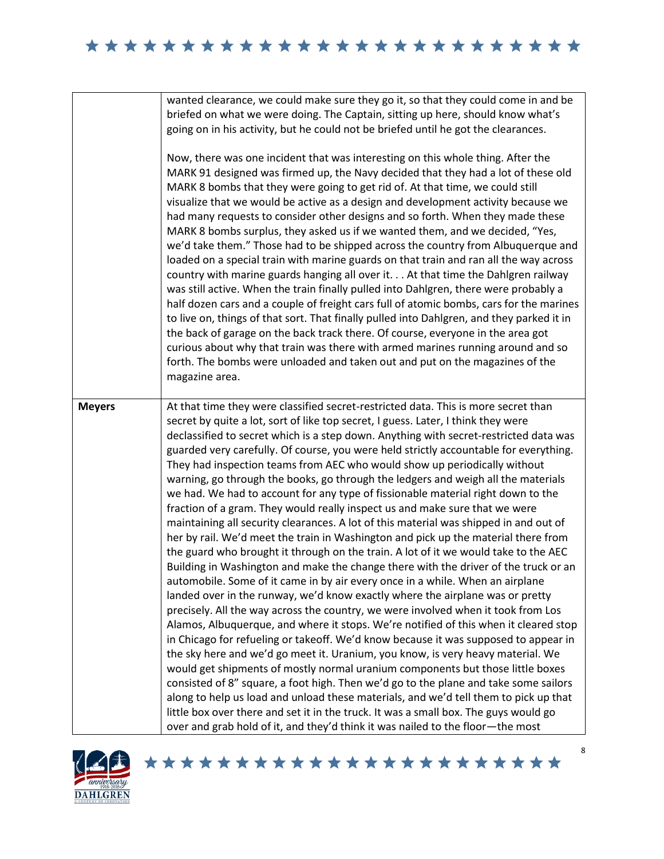|               | wanted clearance, we could make sure they go it, so that they could come in and be<br>briefed on what we were doing. The Captain, sitting up here, should know what's<br>going on in his activity, but he could not be briefed until he got the clearances.<br>Now, there was one incident that was interesting on this whole thing. After the<br>MARK 91 designed was firmed up, the Navy decided that they had a lot of these old<br>MARK 8 bombs that they were going to get rid of. At that time, we could still<br>visualize that we would be active as a design and development activity because we<br>had many requests to consider other designs and so forth. When they made these<br>MARK 8 bombs surplus, they asked us if we wanted them, and we decided, "Yes,<br>we'd take them." Those had to be shipped across the country from Albuquerque and<br>loaded on a special train with marine guards on that train and ran all the way across<br>country with marine guards hanging all over it At that time the Dahlgren railway<br>was still active. When the train finally pulled into Dahlgren, there were probably a<br>half dozen cars and a couple of freight cars full of atomic bombs, cars for the marines<br>to live on, things of that sort. That finally pulled into Dahlgren, and they parked it in<br>the back of garage on the back track there. Of course, everyone in the area got<br>curious about why that train was there with armed marines running around and so<br>forth. The bombs were unloaded and taken out and put on the magazines of the<br>magazine area.                                                                                                                                                                                                                                                                                                                                                                                                                             |
|---------------|----------------------------------------------------------------------------------------------------------------------------------------------------------------------------------------------------------------------------------------------------------------------------------------------------------------------------------------------------------------------------------------------------------------------------------------------------------------------------------------------------------------------------------------------------------------------------------------------------------------------------------------------------------------------------------------------------------------------------------------------------------------------------------------------------------------------------------------------------------------------------------------------------------------------------------------------------------------------------------------------------------------------------------------------------------------------------------------------------------------------------------------------------------------------------------------------------------------------------------------------------------------------------------------------------------------------------------------------------------------------------------------------------------------------------------------------------------------------------------------------------------------------------------------------------------------------------------------------------------------------------------------------------------------------------------------------------------------------------------------------------------------------------------------------------------------------------------------------------------------------------------------------------------------------------------------------------------------------------------------------------------------------------------|
| <b>Meyers</b> | At that time they were classified secret-restricted data. This is more secret than<br>secret by quite a lot, sort of like top secret, I guess. Later, I think they were<br>declassified to secret which is a step down. Anything with secret-restricted data was<br>guarded very carefully. Of course, you were held strictly accountable for everything.<br>They had inspection teams from AEC who would show up periodically without<br>warning, go through the books, go through the ledgers and weigh all the materials<br>we had. We had to account for any type of fissionable material right down to the<br>fraction of a gram. They would really inspect us and make sure that we were<br>maintaining all security clearances. A lot of this material was shipped in and out of<br>her by rail. We'd meet the train in Washington and pick up the material there from<br>the guard who brought it through on the train. A lot of it we would take to the AEC<br>Building in Washington and make the change there with the driver of the truck or an<br>automobile. Some of it came in by air every once in a while. When an airplane<br>landed over in the runway, we'd know exactly where the airplane was or pretty<br>precisely. All the way across the country, we were involved when it took from Los<br>Alamos, Albuquerque, and where it stops. We're notified of this when it cleared stop<br>in Chicago for refueling or takeoff. We'd know because it was supposed to appear in<br>the sky here and we'd go meet it. Uranium, you know, is very heavy material. We<br>would get shipments of mostly normal uranium components but those little boxes<br>consisted of 8" square, a foot high. Then we'd go to the plane and take some sailors<br>along to help us load and unload these materials, and we'd tell them to pick up that<br>little box over there and set it in the truck. It was a small box. The guys would go<br>over and grab hold of it, and they'd think it was nailed to the floor-the most |



8